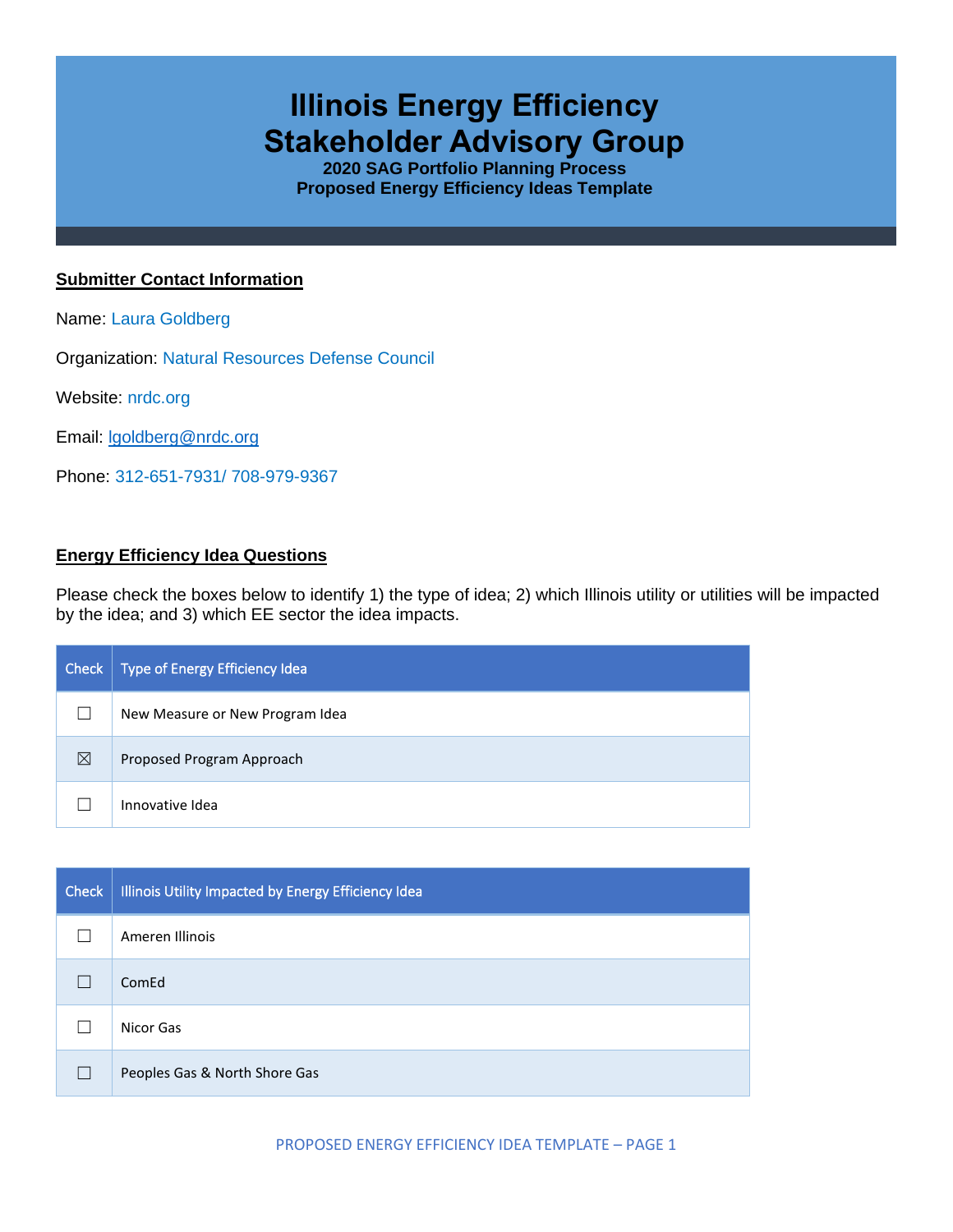# **Illinois Energy Efficiency Stakeholder Advisory Group**

**2020 SAG Portfolio Planning Process Proposed Energy Efficiency Ideas Template**

# **Submitter Contact Information**

Name: Laura Goldberg

Organization: Natural Resources Defense Council

Website: nrdc.org

Email: [lgoldberg@nrdc.org](mailto:lgoldberg@nrdc.org)

Phone: 312-651-7931/ 708-979-9367

# **Energy Efficiency Idea Questions**

Please check the boxes below to identify 1) the type of idea; 2) which Illinois utility or utilities will be impacted by the idea; and 3) which EE sector the idea impacts.

| Check | Type of Energy Efficiency Idea  |
|-------|---------------------------------|
|       | New Measure or New Program Idea |
| ⊠     | Proposed Program Approach       |
|       | Innovative Idea                 |

| <b>Check</b> | Illinois Utility Impacted by Energy Efficiency Idea |
|--------------|-----------------------------------------------------|
|              | Ameren Illinois                                     |
|              | ComEd                                               |
|              | Nicor Gas                                           |
|              | Peoples Gas & North Shore Gas                       |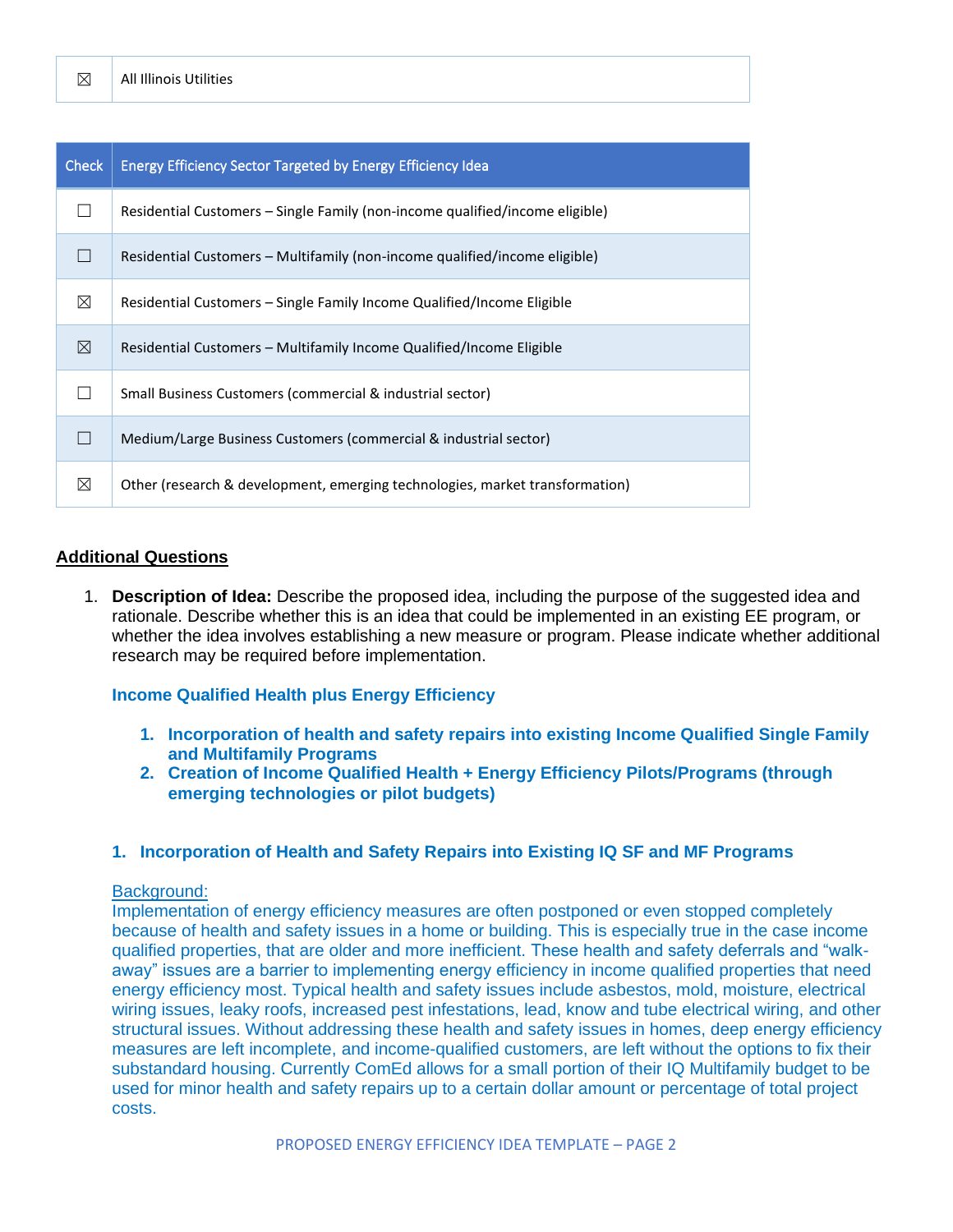| <b>Check</b> | Energy Efficiency Sector Targeted by Energy Efficiency Idea                  |
|--------------|------------------------------------------------------------------------------|
|              | Residential Customers – Single Family (non-income qualified/income eligible) |
|              | Residential Customers – Multifamily (non-income qualified/income eligible)   |
| ⊠            | Residential Customers – Single Family Income Qualified/Income Eligible       |
| ⊠            | Residential Customers – Multifamily Income Qualified/Income Eligible         |
|              | Small Business Customers (commercial & industrial sector)                    |
|              | Medium/Large Business Customers (commercial & industrial sector)             |
| ⊠            | Other (research & development, emerging technologies, market transformation) |

#### **Additional Questions**

1. **Description of Idea:** Describe the proposed idea, including the purpose of the suggested idea and rationale. Describe whether this is an idea that could be implemented in an existing EE program, or whether the idea involves establishing a new measure or program. Please indicate whether additional research may be required before implementation.

#### **Income Qualified Health plus Energy Efficiency**

- **1. Incorporation of health and safety repairs into existing Income Qualified Single Family and Multifamily Programs**
- **2. Creation of Income Qualified Health + Energy Efficiency Pilots/Programs (through emerging technologies or pilot budgets)**

#### **1. Incorporation of Health and Safety Repairs into Existing IQ SF and MF Programs**

#### Background:

Implementation of energy efficiency measures are often postponed or even stopped completely because of health and safety issues in a home or building. This is especially true in the case income qualified properties, that are older and more inefficient. These health and safety deferrals and "walkaway" issues are a barrier to implementing energy efficiency in income qualified properties that need energy efficiency most. Typical health and safety issues include asbestos, mold, moisture, electrical wiring issues, leaky roofs, increased pest infestations, lead, know and tube electrical wiring, and other structural issues. Without addressing these health and safety issues in homes, deep energy efficiency measures are left incomplete, and income-qualified customers, are left without the options to fix their substandard housing. Currently ComEd allows for a small portion of their IQ Multifamily budget to be used for minor health and safety repairs up to a certain dollar amount or percentage of total project costs.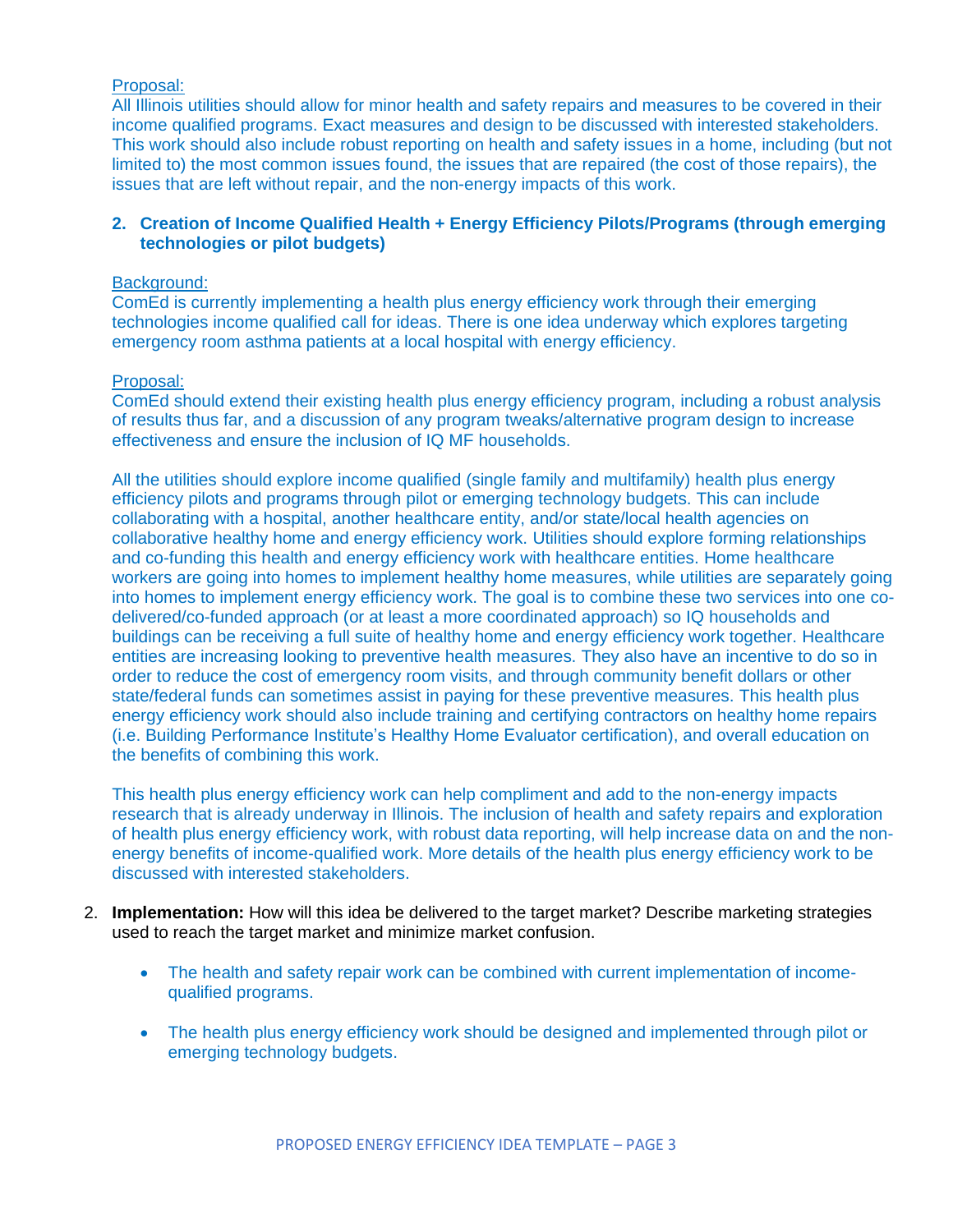# Proposal:

All Illinois utilities should allow for minor health and safety repairs and measures to be covered in their income qualified programs. Exact measures and design to be discussed with interested stakeholders. This work should also include robust reporting on health and safety issues in a home, including (but not limited to) the most common issues found, the issues that are repaired (the cost of those repairs), the issues that are left without repair, and the non-energy impacts of this work.

# **2. Creation of Income Qualified Health + Energy Efficiency Pilots/Programs (through emerging technologies or pilot budgets)**

## Background:

ComEd is currently implementing a health plus energy efficiency work through their emerging technologies income qualified call for ideas. There is one idea underway which explores targeting emergency room asthma patients at a local hospital with energy efficiency.

# Proposal:

ComEd should extend their existing health plus energy efficiency program, including a robust analysis of results thus far, and a discussion of any program tweaks/alternative program design to increase effectiveness and ensure the inclusion of IQ MF households.

All the utilities should explore income qualified (single family and multifamily) health plus energy efficiency pilots and programs through pilot or emerging technology budgets. This can include collaborating with a hospital, another healthcare entity, and/or state/local health agencies on collaborative healthy home and energy efficiency work. Utilities should explore forming relationships and co-funding this health and energy efficiency work with healthcare entities. Home healthcare workers are going into homes to implement healthy home measures, while utilities are separately going into homes to implement energy efficiency work. The goal is to combine these two services into one codelivered/co-funded approach (or at least a more coordinated approach) so IQ households and buildings can be receiving a full suite of healthy home and energy efficiency work together. Healthcare entities are increasing looking to preventive health measures. They also have an incentive to do so in order to reduce the cost of emergency room visits, and through community benefit dollars or other state/federal funds can sometimes assist in paying for these preventive measures. This health plus energy efficiency work should also include training and certifying contractors on healthy home repairs (i.e. Building Performance Institute's Healthy Home Evaluator certification), and overall education on the benefits of combining this work.

This health plus energy efficiency work can help compliment and add to the non-energy impacts research that is already underway in Illinois. The inclusion of health and safety repairs and exploration of health plus energy efficiency work, with robust data reporting, will help increase data on and the nonenergy benefits of income-qualified work. More details of the health plus energy efficiency work to be discussed with interested stakeholders.

- 2. **Implementation:** How will this idea be delivered to the target market? Describe marketing strategies used to reach the target market and minimize market confusion.
	- The health and safety repair work can be combined with current implementation of incomequalified programs.
	- The health plus energy efficiency work should be designed and implemented through pilot or emerging technology budgets.